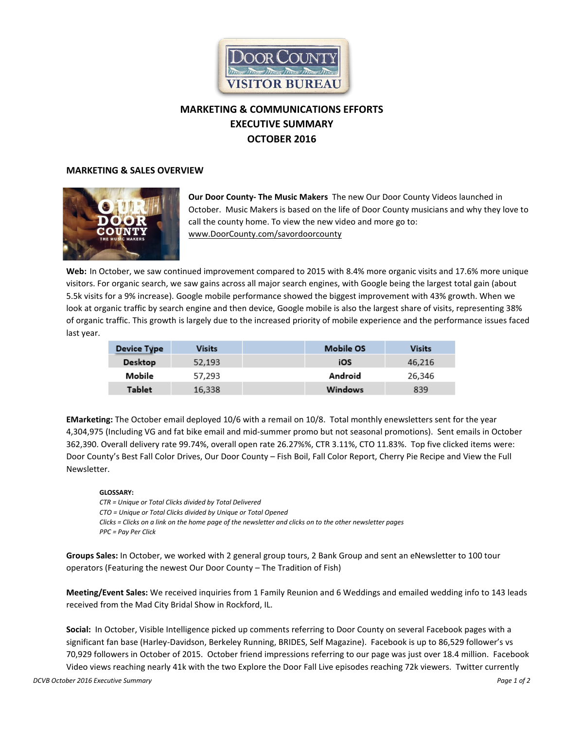

# **MARKETING & COMMUNICATIONS EFFORTS EXECUTIVE SUMMARY OCTOBER 2016**

## **MARKETING & SALES OVERVIEW**



**Our Door County- The Music Makers** The new Our Door County Videos launched in October. Music Makers is based on the life of Door County musicians and why they love to call the county home. To view the new video and more go to: [www.DoorCounty.com/savordoorcounty](http://www.doorcounty.com/savordoorcounty)

**Web:** In October, we saw continued improvement compared to 2015 with 8.4% more organic visits and 17.6% more unique visitors. For organic search, we saw gains across all major search engines, with Google being the largest total gain (about 5.5k visits for a 9% increase). Google mobile performance showed the biggest improvement with 43% growth. When we look at organic traffic by search engine and then device, Google mobile is also the largest share of visits, representing 38% of organic traffic. This growth is largely due to the increased priority of mobile experience and the performance issues faced last year.

| Device Type | Visits | Mobile OS | <b>Visits</b> |
|-------------|--------|-----------|---------------|
| Desktop     | 52,193 | iOS       | 46,216        |
| Mobile      | 57,293 | Android   | 26,346        |
| Tablet      | 16,338 | Windows   | 839           |

**EMarketing:** The October email deployed 10/6 with a remail on 10/8. Total monthly enewsletters sent for the year 4,304,975 (Including VG and fat bike email and mid-summer promo but not seasonal promotions). Sent emails in October 362,390. Overall delivery rate 99.74%, overall open rate 26.27%%, CTR 3.11%, CTO 11.83%. Top five clicked items were: Door County's Best Fall Color Drives, Our Door County – Fish Boil, Fall Color Report, Cherry Pie Recipe and View the Full Newsletter.

#### **GLOSSARY:**

*CTR = Unique or Total Clicks divided by Total Delivered CTO = Unique or Total Clicks divided by Unique or Total Opened Clicks = Clicks on a link on the home page of the newsletter and clicks on to the other newsletter pages PPC = Pay Per Click* 

**Groups Sales:** In October, we worked with 2 general group tours, 2 Bank Group and sent an eNewsletter to 100 tour operators (Featuring the newest Our Door County – The Tradition of Fish)

**Meeting/Event Sales:** We received inquiries from 1 Family Reunion and 6 Weddings and emailed wedding info to 143 leads received from the Mad City Bridal Show in Rockford, IL.

**Social:** In October, Visible Intelligence picked up comments referring to Door County on several Facebook pages with a significant fan base (Harley-Davidson, Berkeley Running, BRIDES, Self Magazine). Facebook is up to 86,529 follower's vs 70,929 followers in October of 2015. October friend impressions referring to our page was just over 18.4 million. Facebook Video views reaching nearly 41k with the two Explore the Door Fall Live episodes reaching 72k viewers. Twitter currently